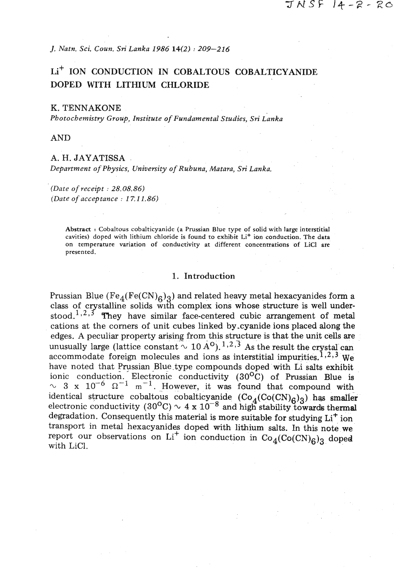**J.** *Natn. Sci. Coun. Sri Lanka* **1986 14(2)** : **209-216** 

# L<sup>+</sup> ION CONDUCTION IN COBALTOUS COBALTICYANIDE DOPED WITH LITHIUM CHLORIDE

#### K. TENNAKONE

*Photochemistry Group, Institute of Fundamental Studies, Sri Lanka* 

**AND** 

## *A. H. JAYATISSA*

*Department of Physics, University of Ruhuna, Matara, Sri Lanka.* 

*(Date of receipt* : **28.08.86)**  *(Date of acceptance* : **1 T.11.86)** 

> **Abstract** : **Cobaltous cobalticyanide (a Prussian Blue type of solid with large interstitial**  cavities) doped with lithium chloride is found to exhibit Li<sup>+</sup> ion conduction. The data **on temperature variation of conductivity at different concentrations of LiCl are presented.**

#### 1. Introduction

Prussian Blue (Fe<sub>4</sub>(Fe(CN)<sub>6</sub>)<sub>3</sub>) and related heavy metal hexacyanides form a class of crystalline solids with complex ions whose structure is well understood. $^{1,2,3}$  They have similar face-centered cubic arrangement of metal cations at the comers of unit cubes linked by-cyanide ions placed along the edges. **A** peculiar property arising from this structure is that the unit cells are unusually large (lattice constant  $\sim 10 \,\mathrm{A}^{\mathrm{O}}$ ). <sup>1, 2, 3</sup> As the result the crystal can accommodate foreign molecules and ions as interstitial impurities.<sup>1,2,3</sup> We have noted that Prussian Blue type compounds doped with Li salts exhibit ionic conduction. Electronic conductivity (30°c) of Prussian Blue is  $\sim$  3 x 10<sup>-6</sup>  $\Omega^{-1}$  m<sup>-1</sup>. However, it was found that compound with identical structure cobaltous cobalticyanide  $(Co_A(Co(CN)<sub>A</sub>)<sub>A</sub>)$  has smaller electronic conductivity (30<sup>o</sup>C)  $\sim 4 \times 10^{-8}$  and high stability towards thermal degradation. Consequently this material is more suitable for studying  $Li<sup>+</sup>$  ion transport in metal hexacyanides doped with lithium salts. In this note we report our observations on  $Li^+$  ion conduction in  $Co_4(Co(CN)_{6})_{3}$  doped with LiC1.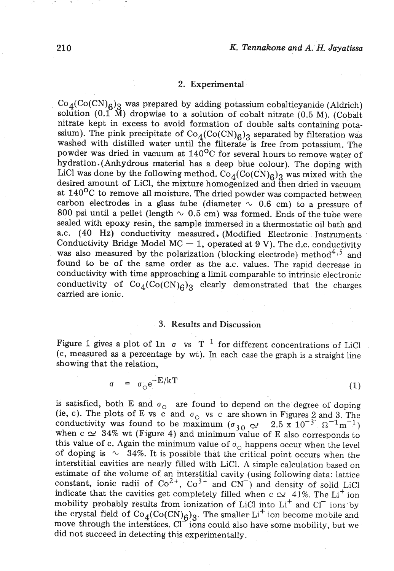#### **2. Experimental**

 $Co_4(Co(CN)<sub>6</sub>)$ <sub>3</sub> was prepared by adding potassium cobalticyanide (Aldrich) solution (0.1 M) dropwise to a solution of cobalt nitrate (0.5 M). (Cobalt nitrate kept in excess to avoid formation of double salts containing potassium). The pink precipitate of  $Co_4(Co(CN)_{6})_3$  separated by filteration was washed with distilled water until the filterate is free from potassium. The powder was dried in vacuum at  $140^{\circ}$ C for several hours to remove water of hydration.(Anhydrous material has a deep blue colour). The doping with LiCl was done by the following method.  $Co_4(Co(CN)_{6})$ <sub>3</sub> was mixed with the desired amount of LiC1, the mixture homogenized and then dried in vacuum at  $140^{\circ}$ C to remove all moisture. The dried powder was compacted between carbon electrodes in a glass tube (diameter  $\sim$  0.6 cm) to a pressure of 800 psi until a pellet (length  $\sim$  0.5 cm) was formed. Ends of the tube were sealed with epoxy resin, the sample immersed in a thermostatic oil bath and a.c. (40 Hz) conductivity measured, (Modified Electronic Instruments Conductivity Bridge Model MC  $-$  1, operated at 9 V). The d.c. conductivity was also measured by the polarization (blocking electrode) method<sup>4,5</sup> and found to be of the same order as the a.c. values. The rapid decrease in conductivity with time approaching a limit comparable to intrinsic electronic conductivity of  $Co_4(Co(CN)<sub>6</sub>)_3$  clearly demonstrated that the charges carried are ionic.

## **3. Results and Discussion**

Figure 1 gives a plot of 1n  $\sigma$  vs  $T^{-1}$  for different concentrations of LiCl  $(c, measured as a percentage by wt)$ . In each case the graph is a straight line showing that the relation,

> $\sigma = \sigma_{\circ} e^{-E/kT}$  $(1)$

is satisfied, both E and  $\sigma_{\text{O}}$  are found to depend on the degree of doping ie, c). The plots of E vs c and  $\sigma_0$  vs c are shown in Figures 2 and 3. The conductivity was found to be maximum ( $\sigma_{20} \sim 2.5 \times 10^{-3} \Omega^{-1} \text{m}^{-1}$ ) when  $c \simeq 34\%$  wt (Figure 4) and minimum value of E also corresponds to this value of c. Again the minimum value of  $\sigma_{\Omega}$  happens occur when the level of doping is  $\sim$  34%. It is possible that the critical point occurs when the interstitial cavities are nearly filled with LiCl. A simple calculation based on estimate of the volume of an interstitial cavity (using following data: lattice constant, ionic radii of  $Co^{2+}$ ,  $Co^{3+}$  and  $CN^{-}$ ) and density of solid LiCl indicate that the cavities get completely filled when c  $\sim$  41%. The Li<sup>+</sup> ion mobility probably results from ionization of LiCl into  $Li<sup>+</sup>$  and Cl<sup>-</sup> ions by the crystal field of  $Co_4(Co(CN)_6)_3$ . The smaller Li<sup>+</sup> ion become mobile and move through the interstices.  $Cl^{\sim}$  ions could also have some mobility, but we did not succeed in detecting this experimentally.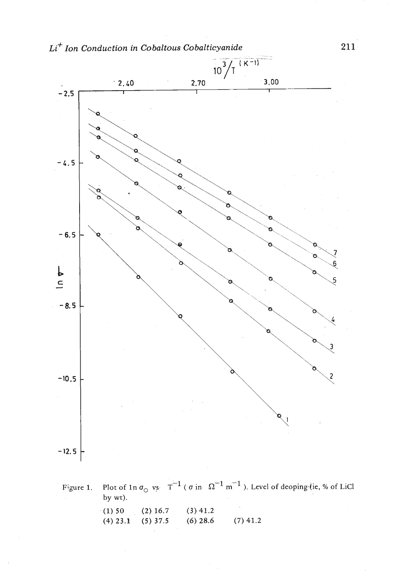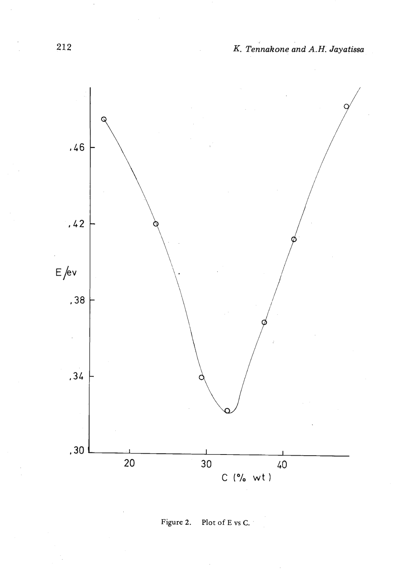

**Figure 2.** Plot **of E vs C.** . ,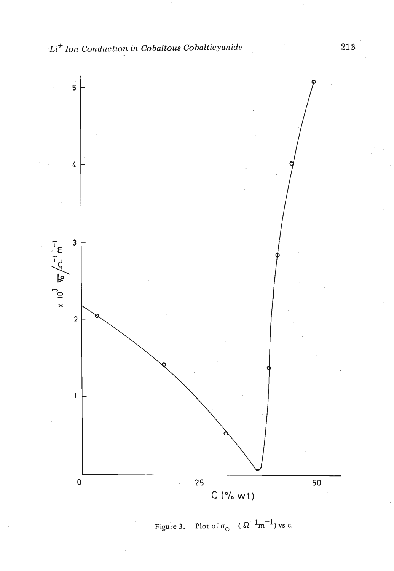

Plot of  $\sigma_{\odot}$  ( $\Omega^{-1}$ m<sup>-1</sup>) vs c. Figure 3.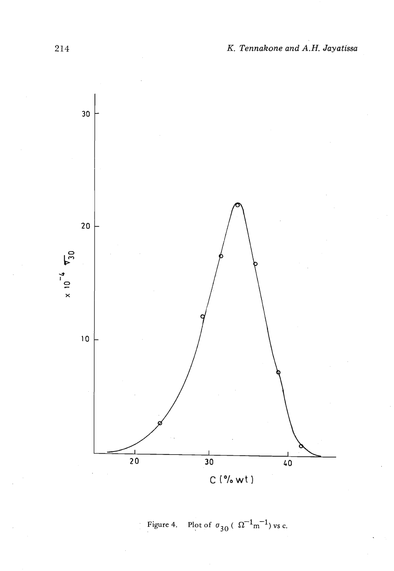

Figure 4. Plot of  $\sigma_{30}$  ( $\Omega^{-1}$ m<sup>-1</sup>) vs c.